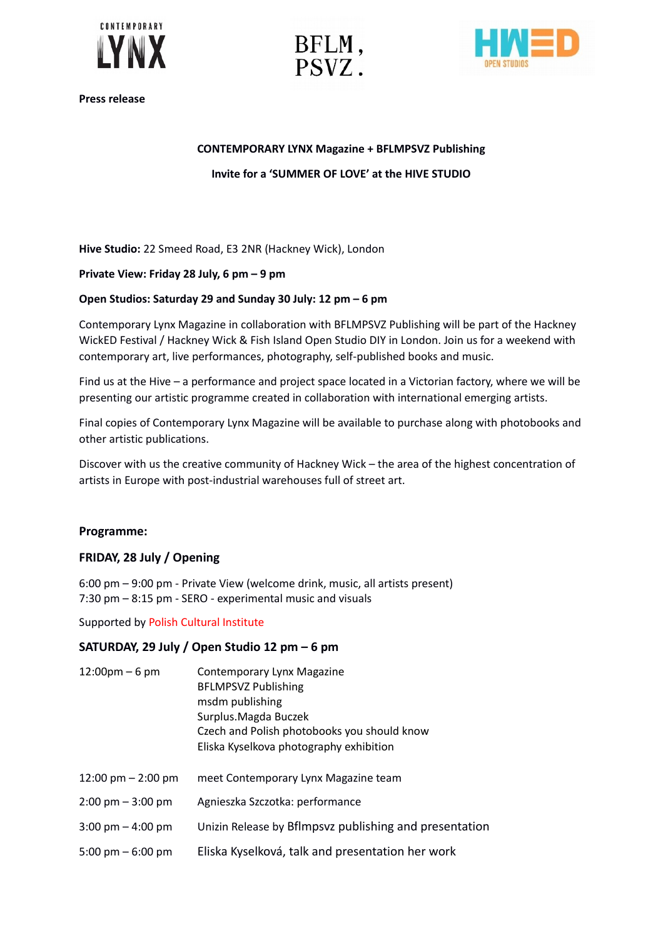





**Press release**

# **CONTEMPORARY LYNX Magazine + BFLMPSVZ Publishing**

# **Invite for a 'SUMMER OF LOVE' at the HIVE STUDIO**

**Hive Studio:** 22 Smeed Road, E3 2NR (Hackney Wick), London

#### **Private View: Friday 28 July, 6 pm – 9 pm**

#### **Open Studios: Saturday 29 and Sunday 30 July: 12 pm – 6 pm**

Contemporary Lynx Magazine in collaboration with BFLMPSVZ Publishing will be part of the Hackney WickED Festival / Hackney Wick & Fish Island Open Studio DIY in London. Join us for a weekend with contemporary art, live performances, photography, self-published books and music.

Find us at the Hive – a performance and project space located in a Victorian factory, where we will be presenting our artistic programme created in collaboration with international emerging artists.

Final copies of Contemporary Lynx Magazine will be available to purchase along with photobooks and other artistic publications.

Discover with us the creative community of Hackney Wick – the area of the highest concentration of artists in Europe with post-industrial warehouses full of street art.

# **Programme:**

# **FRIDAY, 28 July / Opening**

6:00 pm – 9:00 pm - Private View (welcome drink, music, all artists present) 7:30 pm – 8:15 pm - SERO - experimental music and visuals

Supported by Polish Cultural Institute

# **SATURDAY, 29 July / Open Studio 12 pm – 6 pm**

| $12:00 \text{pm} - 6 \text{pm}$     | Contemporary Lynx Magazine<br><b>BFLMPSVZ Publishing</b><br>msdm publishing<br>Surplus. Magda Buczek<br>Czech and Polish photobooks you should know<br>Eliska Kyselkova photography exhibition |
|-------------------------------------|------------------------------------------------------------------------------------------------------------------------------------------------------------------------------------------------|
| 12:00 pm $-$ 2:00 pm                | meet Contemporary Lynx Magazine team                                                                                                                                                           |
| $2:00 \text{ pm} - 3:00 \text{ pm}$ | Agnieszka Szczotka: performance                                                                                                                                                                |
| $3:00 \text{ pm} - 4:00 \text{ pm}$ | Unizin Release by Bflmpsvz publishing and presentation                                                                                                                                         |
| 5:00 pm $-$ 6:00 pm                 | Eliska Kyselková, talk and presentation her work                                                                                                                                               |
|                                     |                                                                                                                                                                                                |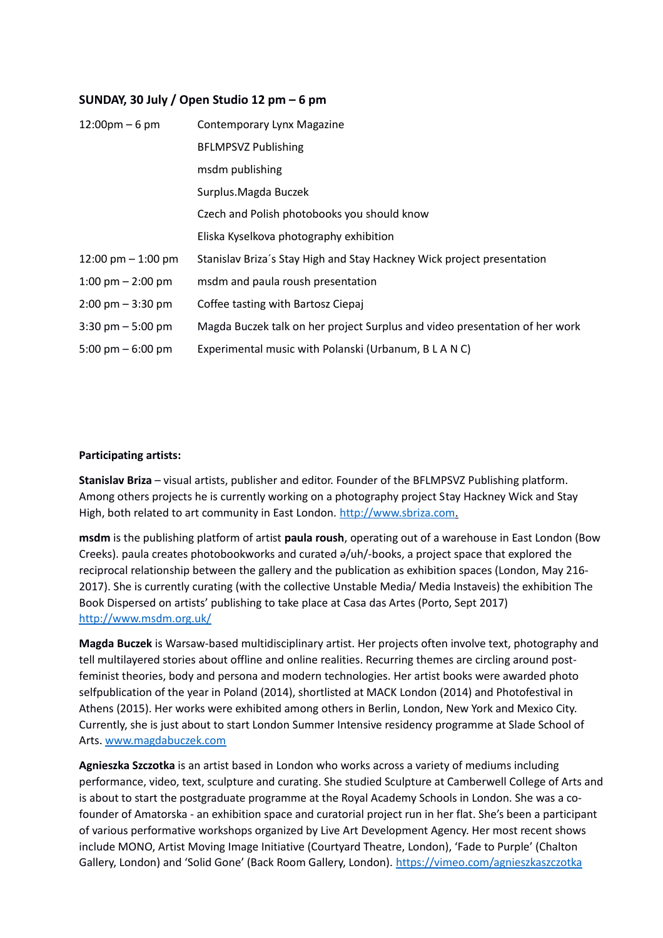# **SUNDAY, 30 July / Open Studio 12 pm – 6 pm**

| $12:00 \text{pm} - 6 \text{pm}$     | Contemporary Lynx Magazine                                                  |
|-------------------------------------|-----------------------------------------------------------------------------|
|                                     | <b>BFLMPSVZ Publishing</b>                                                  |
|                                     | msdm publishing                                                             |
|                                     | Surplus. Magda Buczek                                                       |
|                                     | Czech and Polish photobooks you should know                                 |
|                                     | Eliska Kyselkova photography exhibition                                     |
| 12:00 pm $-$ 1:00 pm                | Stanislav Briza's Stay High and Stay Hackney Wick project presentation      |
| 1:00 pm $-$ 2:00 pm                 | msdm and paula roush presentation                                           |
| $2:00 \text{ pm} - 3:30 \text{ pm}$ | Coffee tasting with Bartosz Ciepaj                                          |
| $3:30 \text{ pm} - 5:00 \text{ pm}$ | Magda Buczek talk on her project Surplus and video presentation of her work |
| 5:00 pm $-$ 6:00 pm                 | Experimental music with Polanski (Urbanum, B L A N C)                       |

#### **Participating artists:**

**Stanislav Briza** – visual artists, publisher and editor. Founder of the BFLMPSVZ Publishing platform. Among others projects he is currently working on a photography project Stay Hackney Wick and Stay High, both related to art community in East London. [http://www.sbriza.com.](http://www.sbriza.com/stay-Hackney-Wick)

**msdm** is the publishing platform of artist **paula roush**, operating out of a warehouse in East London (Bow Creeks). paula creates photobookworks and curated ə/uh/-books, a project space that explored the reciprocal relationship between the gallery and the publication as exhibition spaces (London, May 216- 2017). She is currently curating (with the collective Unstable Media/ Media Instaveis) the exhibition The Book Dispersed on artists' publishing to take place at Casa das Artes (Porto, Sept 2017) <http://www.msdm.org.uk/>

**Magda Buczek** is Warsaw-based multidisciplinary artist. Her projects often involve text, photography and tell multilayered stories about offline and online realities. Recurring themes are circling around postfeminist theories, body and persona and modern technologies. Her artist books were awarded photo selfpublication of the year in Poland (2014), shortlisted at MACK London (2014) and Photofestival in Athens (2015). Her works were exhibited among others in Berlin, London, New York and Mexico City. Currently, she is just about to start London Summer Intensive residency programme at Slade School of Arts. [www.magdabuczek.com](https://l.facebook.com/l.php?u=http%3A%2F%2Fwww.magdabuczek.com%2F&h=ATPxAviF3LKWQOeZMmOQIRuMBAV4jDcYTRIoSIEQ-2plD8p4v6ONzEuNXcRA1s57acJSg3kmwEo19gqAflBbfLEu07knWAUkC05zEzTckbrB7hpvKwrLdoeScI73_iMeR8yI6tzQFAM)

**Agnieszka Szczotka** is an artist based in London who works across a variety of mediums including performance, video, text, sculpture and curating. She studied Sculpture at Camberwell College of Arts and is about to start the postgraduate programme at the Royal Academy Schools in London. She was a cofounder of Amatorska - an exhibition space and curatorial project run in her flat. She's been a participant of various performative workshops organized by Live Art Development Agency. Her most recent shows include MONO, Artist Moving Image Initiative (Courtyard Theatre, London), 'Fade to Purple' (Chalton Gallery, London) and 'Solid Gone' (Back Room Gallery, London). <https://vimeo.com/agnieszkaszczotka>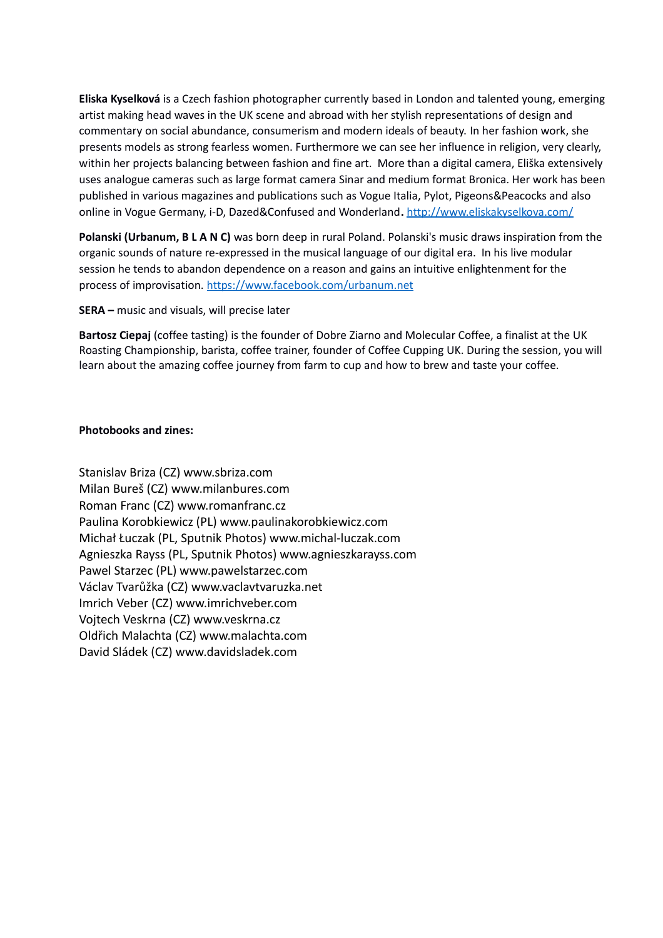**Eliska Kyselková** is a Czech fashion photographer currently based in London and talented young, emerging artist making head waves in the UK scene and abroad with her stylish representations of design and commentary on social abundance, consumerism and modern ideals of beauty. In her fashion work, she presents models as strong fearless women. Furthermore we can see her influence in religion, very clearly, within her projects balancing between fashion and fine art. More than a digital camera, Eliška extensively uses analogue cameras such as large format camera Sinar and medium format Bronica. Her work has been published in various magazines and publications such as Vogue Italia, Pylot, Pigeons&Peacocks and also online in Vogue Germany, i-D, Dazed&Confused and Wonderland**.** <http://www.eliskakyselkova.com/>

**Polanski (Urbanum, B L A N C)** was born deep in rural Poland. Polanski's music draws inspiration from the organic sounds of nature re-expressed in the musical language of our digital era. In his live modular session he tends to abandon dependence on a reason and gains an intuitive enlightenment for the process of improvisation.<https://www.facebook.com/urbanum.net>

**SERA –** music and visuals, will precise later

**Bartosz Ciepaj** (coffee tasting) is the founder of Dobre Ziarno and Molecular Coffee, a finalist at the UK Roasting Championship, barista, coffee trainer, founder of Coffee Cupping UK. During the session, you will learn about the amazing coffee journey from farm to cup and how to brew and taste your coffee.

#### **Photobooks and zines:**

Stanislav Briza (CZ) www.sbriza.com Milan Bureš (CZ) www.milanbures.com Roman Franc (CZ) www.romanfranc.cz Paulina Korobkiewicz (PL) www.paulinakorobkiewicz.com Michał Łuczak (PL, Sputnik Photos) www.michal-luczak.com Agnieszka Rayss (PL, Sputnik Photos) www.agnieszkarayss.com Pawel Starzec (PL) www.pawelstarzec.com Václav Tvarůžka (CZ) www.vaclavtvaruzka.net Imrich Veber (CZ) www.imrichveber.com Vojtech Veskrna (CZ) www.veskrna.cz Oldřich Malachta (CZ) www.malachta.com David Sládek (CZ) www.davidsladek.com